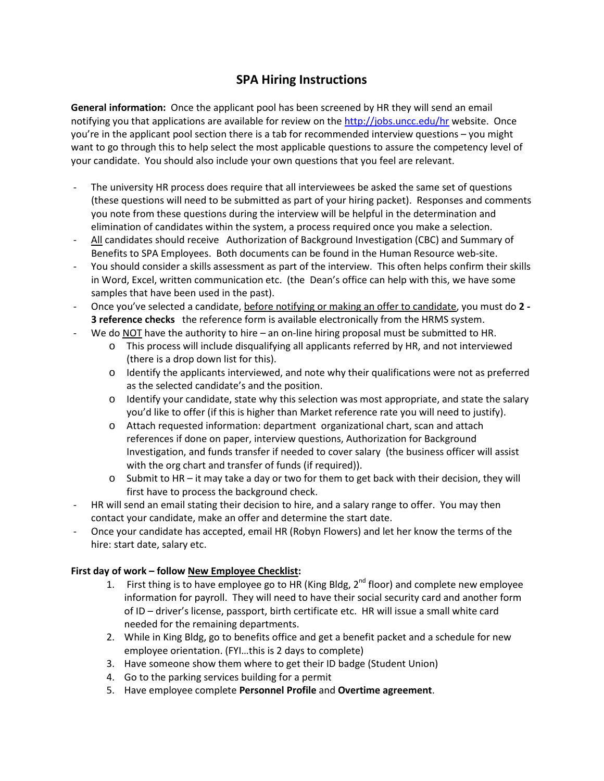## **SPA Hiring Instructions**

**General information:** Once the applicant pool has been screened by HR they will send an email notifying you that applications are available for review on the<http://jobs.uncc.edu/hr> website. Once you're in the applicant pool section there is a tab for recommended interview questions – you might want to go through this to help select the most applicable questions to assure the competency level of your candidate. You should also include your own questions that you feel are relevant.

- The university HR process does require that all interviewees be asked the same set of questions (these questions will need to be submitted as part of your hiring packet). Responses and comments you note from these questions during the interview will be helpful in the determination and elimination of candidates within the system, a process required once you make a selection.
- All candidates should receive Authorization of Background Investigation (CBC) and Summary of Benefits to SPA Employees. Both documents can be found in the Human Resource web-site.
- You should consider a skills assessment as part of the interview. This often helps confirm their skills in Word, Excel, written communication etc. (the Dean's office can help with this, we have some samples that have been used in the past).
- Once you've selected a candidate, before notifying or making an offer to candidate, you must do **2 - 3 reference checks** the reference form is available electronically from the HRMS system.
- We do NOT have the authority to hire an on-line hiring proposal must be submitted to HR.
	- o This process will include disqualifying all applicants referred by HR, and not interviewed (there is a drop down list for this).
	- $\circ$  Identify the applicants interviewed, and note why their qualifications were not as preferred as the selected candidate's and the position.
	- $\circ$  Identify your candidate, state why this selection was most appropriate, and state the salary you'd like to offer (if this is higher than Market reference rate you will need to justify).
	- o Attach requested information: department organizational chart, scan and attach references if done on paper, interview questions, Authorization for Background Investigation, and funds transfer if needed to cover salary (the business officer will assist with the org chart and transfer of funds (if required)).
	- $\circ$  Submit to HR it may take a day or two for them to get back with their decision, they will first have to process the background check.
- HR will send an email stating their decision to hire, and a salary range to offer. You may then contact your candidate, make an offer and determine the start date.
- Once your candidate has accepted, email HR (Robyn Flowers) and let her know the terms of the hire: start date, salary etc.

## **First day of work – follow New Employee Checklist:**

- 1. First thing is to have employee go to HR (King Bldg,  $2^{nd}$  floor) and complete new employee information for payroll. They will need to have their social security card and another form of ID – driver's license, passport, birth certificate etc. HR will issue a small white card needed for the remaining departments.
- 2. While in King Bldg, go to benefits office and get a benefit packet and a schedule for new employee orientation. (FYI…this is 2 days to complete)
- 3. Have someone show them where to get their ID badge (Student Union)
- 4. Go to the parking services building for a permit
- 5. Have employee complete **Personnel Profile** and **Overtime agreement**.